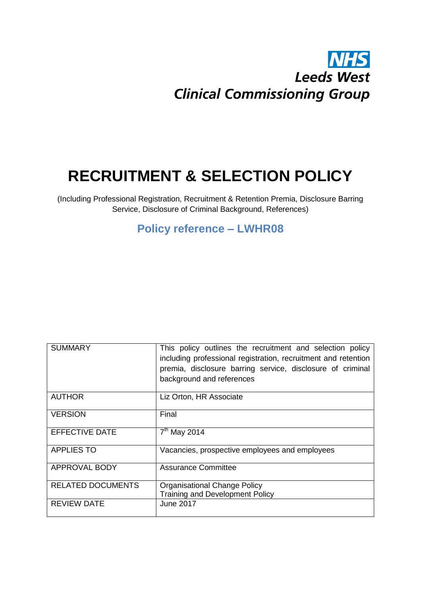# **NHS Leeds West Clinical Commissioning Group**

# **RECRUITMENT & SELECTION POLICY**

(Including Professional Registration, Recruitment & Retention Premia, Disclosure Barring Service, Disclosure of Criminal Background, References)

# **Policy reference – LWHR08**

| <b>SUMMARY</b>           | This policy outlines the recruitment and selection policy<br>including professional registration, recruitment and retention<br>premia, disclosure barring service, disclosure of criminal<br>background and references |
|--------------------------|------------------------------------------------------------------------------------------------------------------------------------------------------------------------------------------------------------------------|
| <b>AUTHOR</b>            | Liz Orton, HR Associate                                                                                                                                                                                                |
| <b>VERSION</b>           | Final                                                                                                                                                                                                                  |
| <b>EFFECTIVE DATE</b>    | $7th$ May 2014                                                                                                                                                                                                         |
| <b>APPLIES TO</b>        | Vacancies, prospective employees and employees                                                                                                                                                                         |
| <b>APPROVAL BODY</b>     | <b>Assurance Committee</b>                                                                                                                                                                                             |
| <b>RELATED DOCUMENTS</b> | <b>Organisational Change Policy</b><br><b>Training and Development Policy</b>                                                                                                                                          |
| <b>REVIEW DATE</b>       | <b>June 2017</b>                                                                                                                                                                                                       |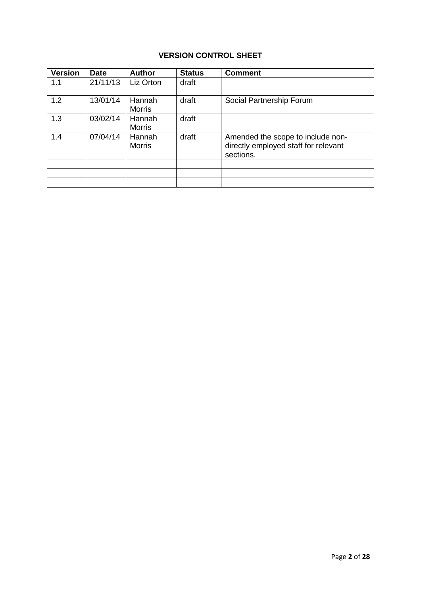# **VERSION CONTROL SHEET**

| <b>Version</b> | <b>Date</b> | <b>Author</b>           | <b>Status</b> | <b>Comment</b>                                                                         |
|----------------|-------------|-------------------------|---------------|----------------------------------------------------------------------------------------|
| 1.1            | 21/11/13    | Liz Orton               | draft         |                                                                                        |
| 1.2            | 13/01/14    | Hannah<br><b>Morris</b> | draft         | Social Partnership Forum                                                               |
| 1.3            | 03/02/14    | Hannah<br>Morris        | draft         |                                                                                        |
| 1.4            | 07/04/14    | Hannah<br><b>Morris</b> | draft         | Amended the scope to include non-<br>directly employed staff for relevant<br>sections. |
|                |             |                         |               |                                                                                        |
|                |             |                         |               |                                                                                        |
|                |             |                         |               |                                                                                        |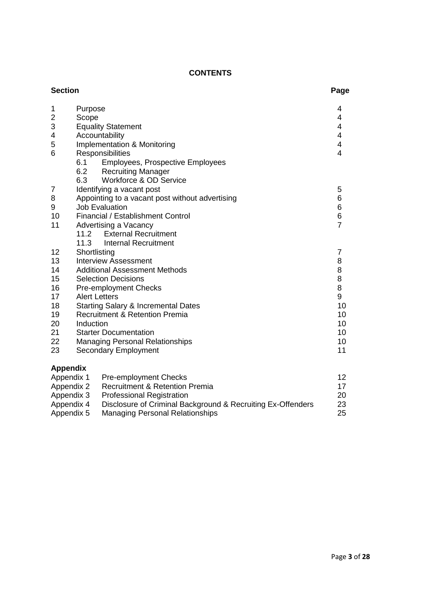# **CONTENTS**

| <b>Section</b>                                                                                                                                                                                                                                                                                                                                                                                                                                                         | Page                                                           |
|------------------------------------------------------------------------------------------------------------------------------------------------------------------------------------------------------------------------------------------------------------------------------------------------------------------------------------------------------------------------------------------------------------------------------------------------------------------------|----------------------------------------------------------------|
| 1<br>Purpose<br>2<br>Scope<br>3<br><b>Equality Statement</b><br>Accountability<br>4<br>5<br><b>Implementation &amp; Monitoring</b><br>6<br>Responsibilities<br>6.1<br><b>Employees, Prospective Employees</b><br>6.2<br><b>Recruiting Manager</b>                                                                                                                                                                                                                      | 4<br>4<br>4<br>4<br>4<br>4                                     |
| 6.3<br>Workforce & OD Service<br>Identifying a vacant post<br>7<br>8<br>Appointing to a vacant post without advertising<br><b>Job Evaluation</b><br>9<br>Financial / Establishment Control<br>10<br>11<br>Advertising a Vacancy<br><b>External Recruitment</b><br>11.2<br>11.3<br><b>Internal Recruitment</b>                                                                                                                                                          | 5<br>6<br>6<br>6<br>$\overline{7}$                             |
| Shortlisting<br>12<br>13<br><b>Interview Assessment</b><br>14<br><b>Additional Assessment Methods</b><br>15<br><b>Selection Decisions</b><br>16<br><b>Pre-employment Checks</b><br>17<br><b>Alert Letters</b><br>18<br><b>Starting Salary &amp; Incremental Dates</b><br><b>Recruitment &amp; Retention Premia</b><br>19<br>20<br>Induction<br>21<br><b>Starter Documentation</b><br>22<br><b>Managing Personal Relationships</b><br>23<br><b>Secondary Employment</b> | 7<br>8<br>8<br>8<br>8<br>9<br>10<br>10<br>10<br>10<br>10<br>11 |
| <b>Appendix</b><br>Appendix 1<br><b>Pre-employment Checks</b><br><b>Recruitment &amp; Retention Premia</b><br>Appendix 2<br>Appendix 3<br><b>Professional Registration</b><br>Appendix 4<br>Disclosure of Criminal Background & Recruiting Ex-Offenders<br>Appendix 5<br><b>Managing Personal Relationships</b>                                                                                                                                                        | 12<br>17<br>20<br>23<br>25                                     |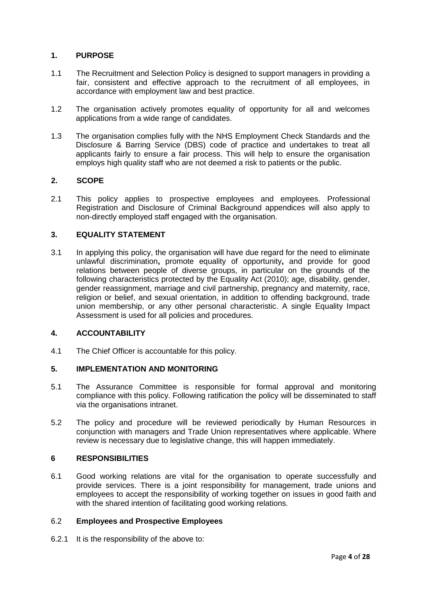# **1. PURPOSE**

- 1.1 The Recruitment and Selection Policy is designed to support managers in providing a fair, consistent and effective approach to the recruitment of all employees, in accordance with employment law and best practice.
- 1.2 The organisation actively promotes equality of opportunity for all and welcomes applications from a wide range of candidates.
- 1.3 The organisation complies fully with the NHS Employment Check Standards and the Disclosure & Barring Service (DBS) code of practice and undertakes to treat all applicants fairly to ensure a fair process. This will help to ensure the organisation employs high quality staff who are not deemed a risk to patients or the public.

# **2. SCOPE**

2.1 This policy applies to prospective employees and employees. Professional Registration and Disclosure of Criminal Background appendices will also apply to non-directly employed staff engaged with the organisation.

# **3. EQUALITY STATEMENT**

3.1 In applying this policy, the organisation will have due regard for the need to eliminate unlawful discrimination**,** promote equality of opportunity**,** and provide for good relations between people of diverse groups, in particular on the grounds of the following characteristics protected by the Equality Act (2010); age, disability, gender, gender reassignment, marriage and civil partnership, pregnancy and maternity, race, religion or belief, and sexual orientation, in addition to offending background, trade union membership, or any other personal characteristic. A single Equality Impact Assessment is used for all policies and procedures.

#### **4. ACCOUNTABILITY**

4.1 The Chief Officer is accountable for this policy.

# **5. IMPLEMENTATION AND MONITORING**

- 5.1 The Assurance Committee is responsible for formal approval and monitoring compliance with this policy. Following ratification the policy will be disseminated to staff via the organisations intranet.
- 5.2 The policy and procedure will be reviewed periodically by Human Resources in conjunction with managers and Trade Union representatives where applicable. Where review is necessary due to legislative change, this will happen immediately.

#### **6 RESPONSIBILITIES**

6.1 Good working relations are vital for the organisation to operate successfully and provide services. There is a joint responsibility for management, trade unions and employees to accept the responsibility of working together on issues in good faith and with the shared intention of facilitating good working relations.

#### 6.2 **Employees and Prospective Employees**

6.2.1 It is the responsibility of the above to: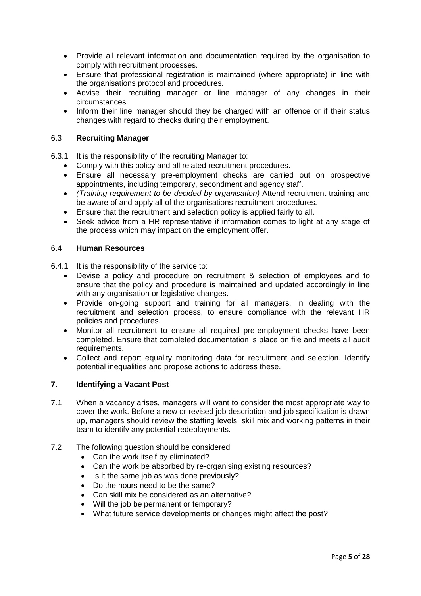- Provide all relevant information and documentation required by the organisation to comply with recruitment processes.
- Ensure that professional registration is maintained (where appropriate) in line with the organisations protocol and procedures.
- Advise their recruiting manager or line manager of any changes in their circumstances.
- Inform their line manager should they be charged with an offence or if their status changes with regard to checks during their employment.

# 6.3 **Recruiting Manager**

- 6.3.1 It is the responsibility of the recruiting Manager to:
	- Comply with this policy and all related recruitment procedures.
	- Ensure all necessary pre-employment checks are carried out on prospective appointments, including temporary, secondment and agency staff.
	- *(Training requirement to be decided by organisation)* Attend recruitment training and be aware of and apply all of the organisations recruitment procedures.
	- Ensure that the recruitment and selection policy is applied fairly to all.
	- Seek advice from a HR representative if information comes to light at any stage of the process which may impact on the employment offer.

#### 6.4 **Human Resources**

- 6.4.1 It is the responsibility of the service to:
	- Devise a policy and procedure on recruitment & selection of employees and to ensure that the policy and procedure is maintained and updated accordingly in line with any organisation or legislative changes.
	- Provide on-going support and training for all managers, in dealing with the recruitment and selection process, to ensure compliance with the relevant HR policies and procedures.
	- Monitor all recruitment to ensure all required pre-employment checks have been completed. Ensure that completed documentation is place on file and meets all audit requirements.
	- Collect and report equality monitoring data for recruitment and selection. Identify potential inequalities and propose actions to address these.

# **7. Identifying a Vacant Post**

- 7.1 When a vacancy arises, managers will want to consider the most appropriate way to cover the work. Before a new or revised job description and job specification is drawn up, managers should review the staffing levels, skill mix and working patterns in their team to identify any potential redeployments.
- 7.2 The following question should be considered:
	- Can the work itself by eliminated?
	- Can the work be absorbed by re-organising existing resources?
	- Is it the same job as was done previously?
	- Do the hours need to be the same?
	- Can skill mix be considered as an alternative?
	- Will the job be permanent or temporary?
	- What future service developments or changes might affect the post?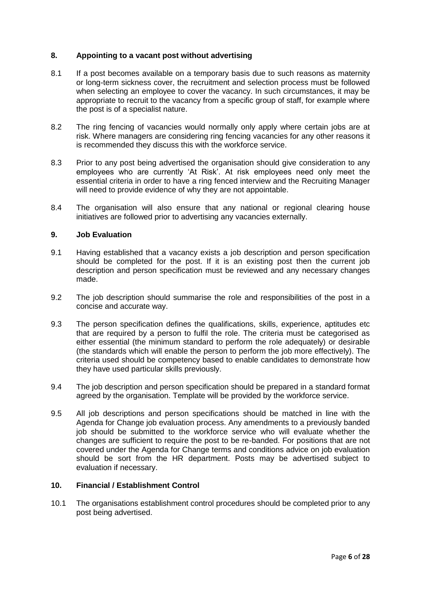# **8. Appointing to a vacant post without advertising**

- 8.1 If a post becomes available on a temporary basis due to such reasons as maternity or long-term sickness cover, the recruitment and selection process must be followed when selecting an employee to cover the vacancy. In such circumstances, it may be appropriate to recruit to the vacancy from a specific group of staff, for example where the post is of a specialist nature.
- 8.2 The ring fencing of vacancies would normally only apply where certain jobs are at risk. Where managers are considering ring fencing vacancies for any other reasons it is recommended they discuss this with the workforce service.
- 8.3 Prior to any post being advertised the organisation should give consideration to any employees who are currently 'At Risk'. At risk employees need only meet the essential criteria in order to have a ring fenced interview and the Recruiting Manager will need to provide evidence of why they are not appointable.
- 8.4 The organisation will also ensure that any national or regional clearing house initiatives are followed prior to advertising any vacancies externally.

# **9. Job Evaluation**

- 9.1 Having established that a vacancy exists a job description and person specification should be completed for the post. If it is an existing post then the current job description and person specification must be reviewed and any necessary changes made.
- 9.2 The job description should summarise the role and responsibilities of the post in a concise and accurate way.
- 9.3 The person specification defines the qualifications, skills, experience, aptitudes etc that are required by a person to fulfil the role. The criteria must be categorised as either essential (the minimum standard to perform the role adequately) or desirable (the standards which will enable the person to perform the job more effectively). The criteria used should be competency based to enable candidates to demonstrate how they have used particular skills previously.
- 9.4 The job description and person specification should be prepared in a standard format agreed by the organisation. Template will be provided by the workforce service.
- 9.5 All job descriptions and person specifications should be matched in line with the Agenda for Change job evaluation process. Any amendments to a previously banded job should be submitted to the workforce service who will evaluate whether the changes are sufficient to require the post to be re-banded. For positions that are not covered under the Agenda for Change terms and conditions advice on job evaluation should be sort from the HR department. Posts may be advertised subject to evaluation if necessary.

# **10. Financial / Establishment Control**

10.1 The organisations establishment control procedures should be completed prior to any post being advertised.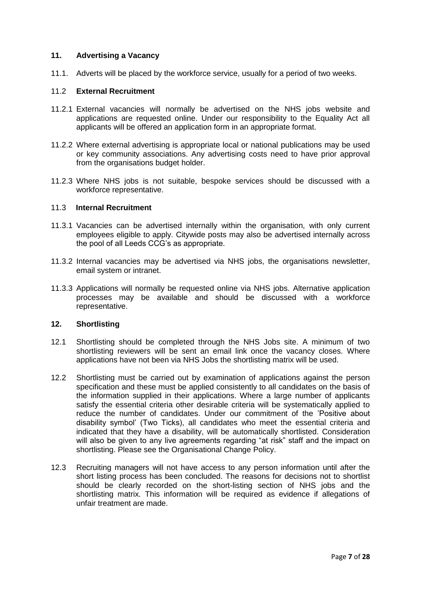# **11. Advertising a Vacancy**

11.1. Adverts will be placed by the workforce service, usually for a period of two weeks.

# 11.2 **External Recruitment**

- 11.2.1 External vacancies will normally be advertised on the NHS jobs website and applications are requested online. Under our responsibility to the Equality Act all applicants will be offered an application form in an appropriate format.
- 11.2.2 Where external advertising is appropriate local or national publications may be used or key community associations. Any advertising costs need to have prior approval from the organisations budget holder.
- 11.2.3 Where NHS jobs is not suitable, bespoke services should be discussed with a workforce representative.

# 11.3 **Internal Recruitment**

- 11.3.1 Vacancies can be advertised internally within the organisation, with only current employees eligible to apply. Citywide posts may also be advertised internally across the pool of all Leeds CCG's as appropriate.
- 11.3.2 Internal vacancies may be advertised via NHS jobs, the organisations newsletter, email system or intranet.
- 11.3.3 Applications will normally be requested online via NHS jobs. Alternative application processes may be available and should be discussed with a workforce representative.

#### **12. Shortlisting**

- 12.1 Shortlisting should be completed through the NHS Jobs site. A minimum of two shortlisting reviewers will be sent an email link once the vacancy closes. Where applications have not been via NHS Jobs the shortlisting matrix will be used.
- 12.2 Shortlisting must be carried out by examination of applications against the person specification and these must be applied consistently to all candidates on the basis of the information supplied in their applications. Where a large number of applicants satisfy the essential criteria other desirable criteria will be systematically applied to reduce the number of candidates. Under our commitment of the 'Positive about disability symbol' (Two Ticks), all candidates who meet the essential criteria and indicated that they have a disability, will be automatically shortlisted. Consideration will also be given to any live agreements regarding "at risk" staff and the impact on shortlisting. Please see the Organisational Change Policy.
- 12.3 Recruiting managers will not have access to any person information until after the short listing process has been concluded. The reasons for decisions not to shortlist should be clearly recorded on the short-listing section of NHS jobs and the shortlisting matrix. This information will be required as evidence if allegations of unfair treatment are made.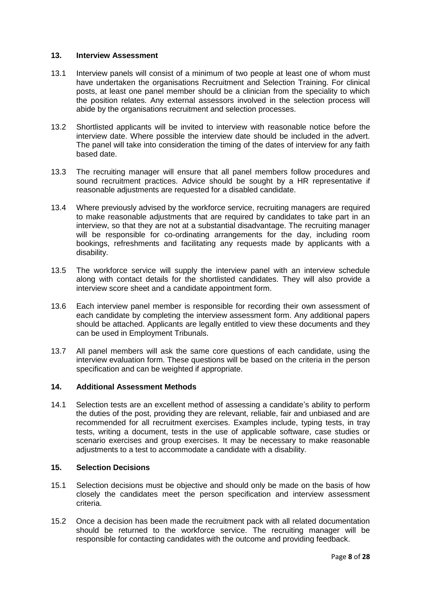#### **13. Interview Assessment**

- 13.1 Interview panels will consist of a minimum of two people at least one of whom must have undertaken the organisations Recruitment and Selection Training. For clinical posts, at least one panel member should be a clinician from the speciality to which the position relates. Any external assessors involved in the selection process will abide by the organisations recruitment and selection processes.
- 13.2 Shortlisted applicants will be invited to interview with reasonable notice before the interview date. Where possible the interview date should be included in the advert. The panel will take into consideration the timing of the dates of interview for any faith based date.
- 13.3 The recruiting manager will ensure that all panel members follow procedures and sound recruitment practices. Advice should be sought by a HR representative if reasonable adjustments are requested for a disabled candidate.
- 13.4 Where previously advised by the workforce service, recruiting managers are required to make reasonable adjustments that are required by candidates to take part in an interview, so that they are not at a substantial disadvantage. The recruiting manager will be responsible for co-ordinating arrangements for the day, including room bookings, refreshments and facilitating any requests made by applicants with a disability.
- 13.5 The workforce service will supply the interview panel with an interview schedule along with contact details for the shortlisted candidates. They will also provide a interview score sheet and a candidate appointment form.
- 13.6 Each interview panel member is responsible for recording their own assessment of each candidate by completing the interview assessment form. Any additional papers should be attached. Applicants are legally entitled to view these documents and they can be used in Employment Tribunals.
- 13.7 All panel members will ask the same core questions of each candidate, using the interview evaluation form. These questions will be based on the criteria in the person specification and can be weighted if appropriate.

# **14. Additional Assessment Methods**

14.1 Selection tests are an excellent method of assessing a candidate's ability to perform the duties of the post, providing they are relevant, reliable, fair and unbiased and are recommended for all recruitment exercises. Examples include, typing tests, in tray tests, writing a document, tests in the use of applicable software, case studies or scenario exercises and group exercises. It may be necessary to make reasonable adjustments to a test to accommodate a candidate with a disability.

#### **15. Selection Decisions**

- 15.1 Selection decisions must be objective and should only be made on the basis of how closely the candidates meet the person specification and interview assessment criteria.
- 15.2 Once a decision has been made the recruitment pack with all related documentation should be returned to the workforce service. The recruiting manager will be responsible for contacting candidates with the outcome and providing feedback.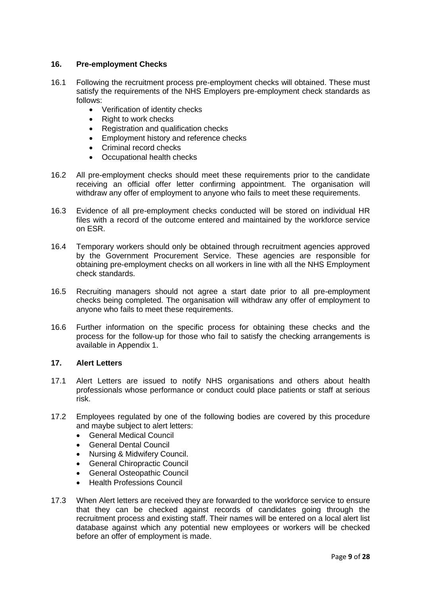# **16. Pre-employment Checks**

- 16.1 Following the recruitment process pre-employment checks will obtained. These must satisfy the requirements of the NHS Employers pre-employment check standards as follows:
	- Verification of identity checks
	- Right to work checks
	- Registration and qualification checks
	- **Employment history and reference checks**
	- Criminal record checks
	- Occupational health checks
- 16.2 All pre-employment checks should meet these requirements prior to the candidate receiving an official offer letter confirming appointment. The organisation will withdraw any offer of employment to anyone who fails to meet these requirements.
- 16.3 Evidence of all pre-employment checks conducted will be stored on individual HR files with a record of the outcome entered and maintained by the workforce service on ESR.
- 16.4 Temporary workers should only be obtained through recruitment agencies approved by the Government Procurement Service. These agencies are responsible for obtaining pre-employment checks on all workers in line with all the NHS Employment check standards.
- 16.5 Recruiting managers should not agree a start date prior to all pre-employment checks being completed. The organisation will withdraw any offer of employment to anyone who fails to meet these requirements.
- 16.6 Further information on the specific process for obtaining these checks and the process for the follow-up for those who fail to satisfy the checking arrangements is available in Appendix 1.

# **17. Alert Letters**

- 17.1 Alert Letters are issued to notify NHS organisations and others about health professionals whose performance or conduct could place patients or staff at serious risk.
- 17.2 Employees regulated by one of the following bodies are covered by this procedure and maybe subject to alert letters:
	- General Medical Council
	- General Dental Council
	- Nursing & Midwifery Council.
	- General Chiropractic Council
	- General Osteopathic Council
	- Health Professions Council
- 17.3 When Alert letters are received they are forwarded to the workforce service to ensure that they can be checked against records of candidates going through the recruitment process and existing staff. Their names will be entered on a local alert list database against which any potential new employees or workers will be checked before an offer of employment is made.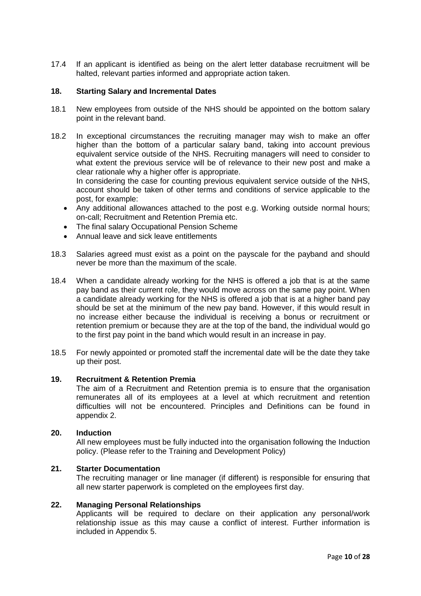17.4 If an applicant is identified as being on the alert letter database recruitment will be halted, relevant parties informed and appropriate action taken.

# **18. Starting Salary and Incremental Dates**

- 18.1 New employees from outside of the NHS should be appointed on the bottom salary point in the relevant band.
- 18.2 In exceptional circumstances the recruiting manager may wish to make an offer higher than the bottom of a particular salary band, taking into account previous equivalent service outside of the NHS. Recruiting managers will need to consider to what extent the previous service will be of relevance to their new post and make a clear rationale why a higher offer is appropriate.

In considering the case for counting previous equivalent service outside of the NHS, account should be taken of other terms and conditions of service applicable to the post, for example:

- Any additional allowances attached to the post e.g. Working outside normal hours; on-call; Recruitment and Retention Premia etc.
- The final salary Occupational Pension Scheme
- Annual leave and sick leave entitlements
- 18.3 Salaries agreed must exist as a point on the payscale for the payband and should never be more than the maximum of the scale.
- 18.4 When a candidate already working for the NHS is offered a job that is at the same pay band as their current role, they would move across on the same pay point. When a candidate already working for the NHS is offered a job that is at a higher band pay should be set at the minimum of the new pay band. However, if this would result in no increase either because the individual is receiving a bonus or recruitment or retention premium or because they are at the top of the band, the individual would go to the first pay point in the band which would result in an increase in pay.
- 18.5 For newly appointed or promoted staff the incremental date will be the date they take up their post.

#### **19. Recruitment & Retention Premia**

The aim of a Recruitment and Retention premia is to ensure that the organisation remunerates all of its employees at a level at which recruitment and retention difficulties will not be encountered. Principles and Definitions can be found in appendix 2.

#### **20. Induction**

All new employees must be fully inducted into the organisation following the Induction policy. (Please refer to the Training and Development Policy)

#### **21. Starter Documentation**

The recruiting manager or line manager (if different) is responsible for ensuring that all new starter paperwork is completed on the employees first day.

#### **22. Managing Personal Relationships**

Applicants will be required to declare on their application any personal/work relationship issue as this may cause a conflict of interest. Further information is included in Appendix 5.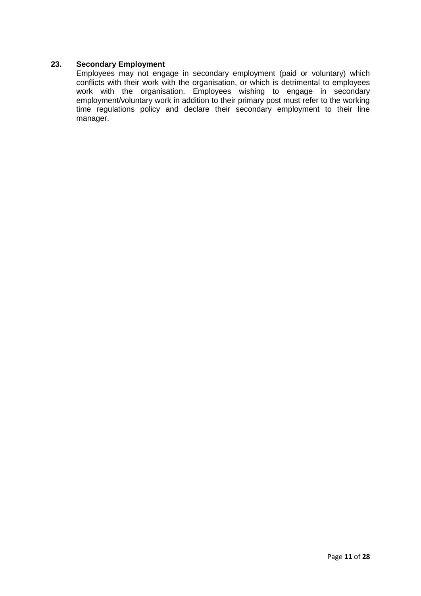# **23. Secondary Employment**

Employees may not engage in secondary employment (paid or voluntary) which conflicts with their work with the organisation, or which is detrimental to employees work with the organisation. Employees wishing to engage in secondary employment/voluntary work in addition to their primary post must refer to the working time regulations policy and declare their secondary employment to their line manager.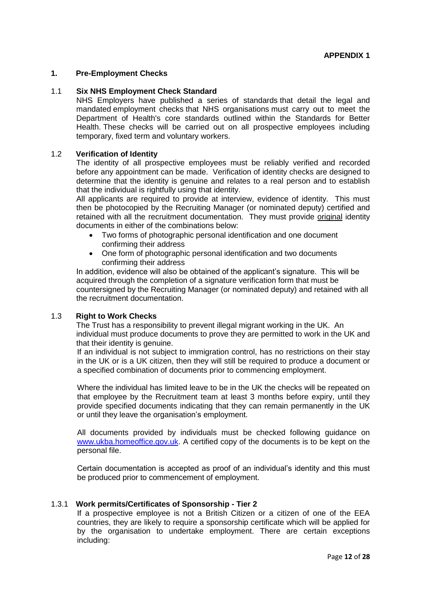# **1. Pre-Employment Checks**

#### 1.1 **Six NHS Employment Check Standard**

NHS Employers have published a series of standards that detail the legal and mandated employment checks that NHS organisations must carry out to meet the Department of Health's core standards outlined within the Standards for Better Health. These checks will be carried out on all prospective employees including temporary, fixed term and voluntary workers.

#### 1.2 **Verification of Identity**

The identity of all prospective employees must be reliably verified and recorded before any appointment can be made. Verification of identity checks are designed to determine that the identity is genuine and relates to a real person and to establish that the individual is rightfully using that identity.

All applicants are required to provide at interview, evidence of identity. This must then be photocopied by the Recruiting Manager (or nominated deputy) certified and retained with all the recruitment documentation. They must provide original identity documents in either of the combinations below:

- Two forms of photographic personal identification and one document confirming their address
- One form of photographic personal identification and two documents confirming their address

In addition, evidence will also be obtained of the applicant's signature. This will be acquired through the completion of a signature verification form that must be countersigned by the Recruiting Manager (or nominated deputy) and retained with all the recruitment documentation.

#### 1.3 **Right to Work Checks**

The Trust has a responsibility to prevent illegal migrant working in the UK. An individual must produce documents to prove they are permitted to work in the UK and that their identity is genuine.

If an individual is not subject to immigration control, has no restrictions on their stay in the UK or is a UK citizen, then they will still be required to produce a document or a specified combination of documents prior to commencing employment.

Where the individual has limited leave to be in the UK the checks will be repeated on that employee by the Recruitment team at least 3 months before expiry, until they provide specified documents indicating that they can remain permanently in the UK or until they leave the organisation's employment.

All documents provided by individuals must be checked following guidance on [www.ukba.homeoffice.gov.uk.](http://www.ukba.homeoffice.gov.uk/) A certified copy of the documents is to be kept on the personal file.

Certain documentation is accepted as proof of an individual's identity and this must be produced prior to commencement of employment.

#### 1.3.1 **Work permits/Certificates of Sponsorship - Tier 2**

If a prospective employee is not a British Citizen or a citizen of one of the EEA countries, they are likely to require a sponsorship certificate which will be applied for by the organisation to undertake employment. There are certain exceptions including: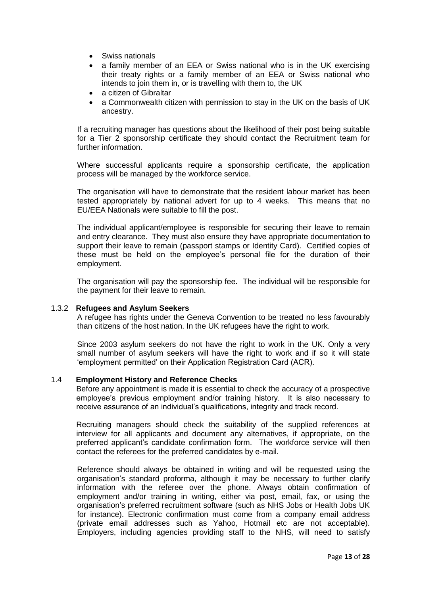- Swiss nationals
- a family member of an EEA or Swiss national who is in the UK exercising their treaty rights or a family member of an EEA or Swiss national who intends to join them in, or is travelling with them to, the UK
- a citizen of Gibraltar
- a Commonwealth citizen with permission to stay in the UK on the basis of UK ancestry.

If a recruiting manager has questions about the likelihood of their post being suitable for a Tier 2 sponsorship certificate they should contact the Recruitment team for further information.

Where successful applicants require a sponsorship certificate, the application process will be managed by the workforce service.

The organisation will have to demonstrate that the resident labour market has been tested appropriately by national advert for up to 4 weeks. This means that no EU/EEA Nationals were suitable to fill the post.

The individual applicant/employee is responsible for securing their leave to remain and entry clearance. They must also ensure they have appropriate documentation to support their leave to remain (passport stamps or Identity Card). Certified copies of these must be held on the employee's personal file for the duration of their employment.

The organisation will pay the sponsorship fee. The individual will be responsible for the payment for their leave to remain.

#### 1.3.2 **Refugees and Asylum Seekers**

A refugee has rights under the Geneva Convention to be treated no less favourably than citizens of the host nation. In the UK refugees have the right to work.

Since 2003 asylum seekers do not have the right to work in the UK. Only a very small number of asylum seekers will have the right to work and if so it will state 'employment permitted' on their Application Registration Card (ACR).

#### 1.4 **Employment History and Reference Checks**

Before any appointment is made it is essential to check the accuracy of a prospective employee's previous employment and/or training history. It is also necessary to receive assurance of an individual's qualifications, integrity and track record.

Recruiting managers should check the suitability of the supplied references at interview for all applicants and document any alternatives, if appropriate, on the preferred applicant's candidate confirmation form. The workforce service will then contact the referees for the preferred candidates by e-mail.

Reference should always be obtained in writing and will be requested using the organisation's standard proforma, although it may be necessary to further clarify information with the referee over the phone. Always obtain confirmation of employment and/or training in writing, either via post, email, fax, or using the organisation's preferred recruitment software (such as NHS Jobs or Health Jobs UK for instance). Electronic confirmation must come from a company email address (private email addresses such as Yahoo, Hotmail etc are not acceptable). Employers, including agencies providing staff to the NHS, will need to satisfy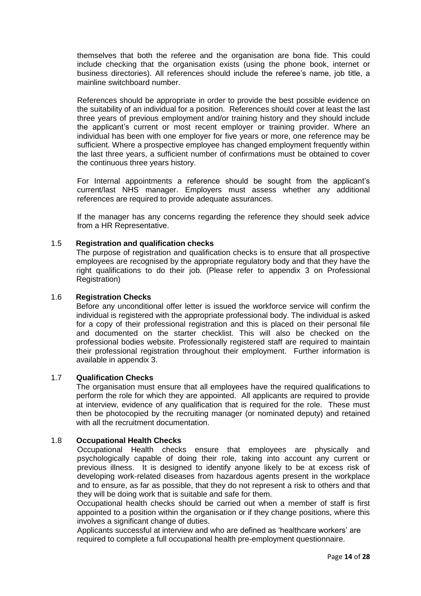themselves that both the referee and the organisation are bona fide. This could include checking that the organisation exists (using the phone book, internet or business directories). All references should include the referee's name, job title, a mainline switchboard number.

References should be appropriate in order to provide the best possible evidence on the suitability of an individual for a position. References should cover at least the last three years of previous employment and/or training history and they should include the applicant's current or most recent employer or training provider. Where an individual has been with one employer for five years or more, one reference may be sufficient. Where a prospective employee has changed employment frequently within the last three years, a sufficient number of confirmations must be obtained to cover the continuous three years history.

For Internal appointments a reference should be sought from the applicant's current/last NHS manager. Employers must assess whether any additional references are required to provide adequate assurances.

If the manager has any concerns regarding the reference they should seek advice from a HR Representative.

# 1.5 **[Registration and qualification checks](http://www.nhsemployers.org/Aboutus/Publications/Documents/Registration%20and%20qualification%20checks.pdf)**

The purpose of registration and qualification checks is to ensure that all prospective employees are recognised by the appropriate regulatory body and that they have the right qualifications to do their job. (Please refer to appendix 3 on Professional Registration)

#### 1.6 **Registration Checks**

Before any unconditional offer letter is issued the workforce service will confirm the individual is registered with the appropriate professional body. The individual is asked for a copy of their professional registration and this is placed on their personal file and documented on the starter checklist. This will also be checked on the professional bodies website. Professionally registered staff are required to maintain their professional registration throughout their employment. Further information is available in appendix 3.

#### 1.7 **Qualification Checks**

The organisation must ensure that all employees have the required qualifications to perform the role for which they are appointed. All applicants are required to provide at interview, evidence of any qualification that is required for the role. These must then be photocopied by the recruiting manager (or nominated deputy) and retained with all the recruitment documentation.

#### 1.8 **Occupational Health Checks**

Occupational Health checks ensure that employees are physically and psychologically capable of doing their role, taking into account any current or previous illness. It is designed to identify anyone likely to be at excess risk of developing work-related diseases from hazardous agents present in the workplace and to ensure, as far as possible, that they do not represent a risk to others and that they will be doing work that is suitable and safe for them.

Occupational health checks should be carried out when a member of staff is first appointed to a position within the organisation or if they change positions, where this involves a significant change of duties.

Applicants successful at interview and who are defined as 'healthcare workers' are required to complete a full occupational health pre-employment questionnaire.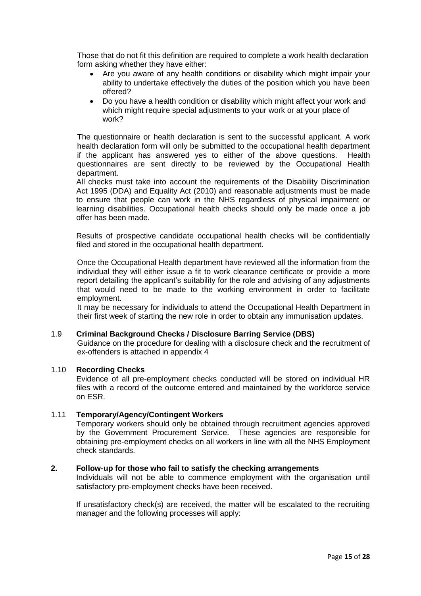Those that do not fit this definition are required to complete a work health declaration form asking whether they have either:

- Are you aware of any health conditions or disability which might impair your ability to undertake effectively the duties of the position which you have been offered?
- Do you have a health condition or disability which might affect your work and which might require special adjustments to your work or at your place of work?

The questionnaire or health declaration is sent to the successful applicant. A work health declaration form will only be submitted to the occupational health department if the applicant has answered yes to either of the above questions. Health questionnaires are sent directly to be reviewed by the Occupational Health department.

All checks must take into account the requirements of the Disability Discrimination Act 1995 (DDA) and Equality Act (2010) and reasonable adjustments must be made to ensure that people can work in the NHS regardless of physical impairment or learning disabilities. Occupational health checks should only be made once a job offer has been made.

Results of prospective candidate occupational health checks will be confidentially filed and stored in the occupational health department.

Once the Occupational Health department have reviewed all the information from the individual they will either issue a fit to work clearance certificate or provide a more report detailing the applicant's suitability for the role and advising of any adjustments that would need to be made to the working environment in order to facilitate employment.

It may be necessary for individuals to attend the Occupational Health Department in their first week of starting the new role in order to obtain any immunisation updates.

#### 1.9 **Criminal Background Checks / Disclosure Barring Service (DBS)**

Guidance on the procedure for dealing with a disclosure check and the recruitment of ex-offenders is attached in appendix 4

#### 1.10 **Recording Checks**

Evidence of all pre-employment checks conducted will be stored on individual HR files with a record of the outcome entered and maintained by the workforce service on ESR.

# 1.11 **Temporary/Agency/Contingent Workers**

Temporary workers should only be obtained through recruitment agencies approved by the Government Procurement Service. These agencies are responsible for obtaining pre-employment checks on all workers in line with all the NHS Employment check standards.

# **2. Follow-up for those who fail to satisfy the checking arrangements**

Individuals will not be able to commence employment with the organisation until satisfactory pre-employment checks have been received.

If unsatisfactory check(s) are received, the matter will be escalated to the recruiting manager and the following processes will apply: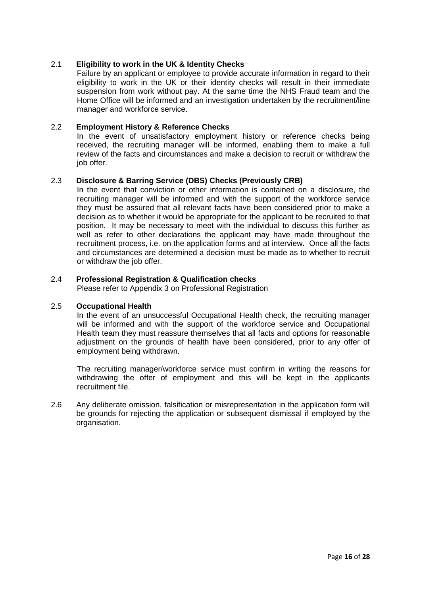# 2.1 **Eligibility to work in the UK & Identity Checks**

Failure by an applicant or employee to provide accurate information in regard to their eligibility to work in the UK or their identity checks will result in their immediate suspension from work without pay. At the same time the NHS Fraud team and the Home Office will be informed and an investigation undertaken by the recruitment/line manager and workforce service.

# 2.2 **Employment History & Reference Checks**

In the event of unsatisfactory employment history or reference checks being received, the recruiting manager will be informed, enabling them to make a full review of the facts and circumstances and make a decision to recruit or withdraw the job offer.

# 2.3 **Disclosure & Barring Service (DBS) Checks (Previously CRB)**

In the event that conviction or other information is contained on a disclosure, the recruiting manager will be informed and with the support of the workforce service they must be assured that all relevant facts have been considered prior to make a decision as to whether it would be appropriate for the applicant to be recruited to that position. It may be necessary to meet with the individual to discuss this further as well as refer to other declarations the applicant may have made throughout the recruitment process, i.e. on the application forms and at interview. Once all the facts and circumstances are determined a decision must be made as to whether to recruit or withdraw the job offer.

# 2.4 **Professional Registration & Qualification checks**

Please refer to Appendix 3 on Professional Registration

#### 2.5 **Occupational Health**

In the event of an unsuccessful Occupational Health check, the recruiting manager will be informed and with the support of the workforce service and Occupational Health team they must reassure themselves that all facts and options for reasonable adjustment on the grounds of health have been considered, prior to any offer of employment being withdrawn.

The recruiting manager/workforce service must confirm in writing the reasons for withdrawing the offer of employment and this will be kept in the applicants recruitment file.

2.6 Any deliberate omission, falsification or misrepresentation in the application form will be grounds for rejecting the application or subsequent dismissal if employed by the organisation.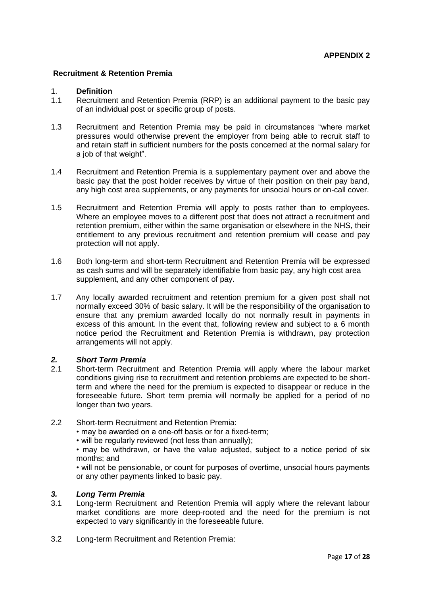# **Recruitment & Retention Premia**

# 1. **Definition**

- 1.1 Recruitment and Retention Premia (RRP) is an additional payment to the basic pay of an individual post or specific group of posts.
- 1.3 Recruitment and Retention Premia may be paid in circumstances "where market pressures would otherwise prevent the employer from being able to recruit staff to and retain staff in sufficient numbers for the posts concerned at the normal salary for a job of that weight".
- 1.4 Recruitment and Retention Premia is a supplementary payment over and above the basic pay that the post holder receives by virtue of their position on their pay band, any high cost area supplements, or any payments for unsocial hours or on-call cover.
- 1.5 Recruitment and Retention Premia will apply to posts rather than to employees. Where an employee moves to a different post that does not attract a recruitment and retention premium, either within the same organisation or elsewhere in the NHS, their entitlement to any previous recruitment and retention premium will cease and pay protection will not apply.
- 1.6 Both long-term and short-term Recruitment and Retention Premia will be expressed as cash sums and will be separately identifiable from basic pay, any high cost area supplement, and any other component of pay.
- 1.7 Any locally awarded recruitment and retention premium for a given post shall not normally exceed 30% of basic salary. It will be the responsibility of the organisation to ensure that any premium awarded locally do not normally result in payments in excess of this amount. In the event that, following review and subject to a 6 month notice period the Recruitment and Retention Premia is withdrawn, pay protection arrangements will not apply.

# *2. Short Term Premia*

- 2.1 Short-term Recruitment and Retention Premia will apply where the labour market conditions giving rise to recruitment and retention problems are expected to be shortterm and where the need for the premium is expected to disappear or reduce in the foreseeable future. Short term premia will normally be applied for a period of no longer than two years.
- 2.2 Short-term Recruitment and Retention Premia:
	- may be awarded on a one-off basis or for a fixed-term;
	- will be regularly reviewed (not less than annually);
	- may be withdrawn, or have the value adjusted, subject to a notice period of six months; and
	- will not be pensionable, or count for purposes of overtime, unsocial hours payments or any other payments linked to basic pay.

#### *3. Long Term Premia*

- 3.1 Long-term Recruitment and Retention Premia will apply where the relevant labour market conditions are more deep-rooted and the need for the premium is not expected to vary significantly in the foreseeable future.
- 3.2 Long-term Recruitment and Retention Premia: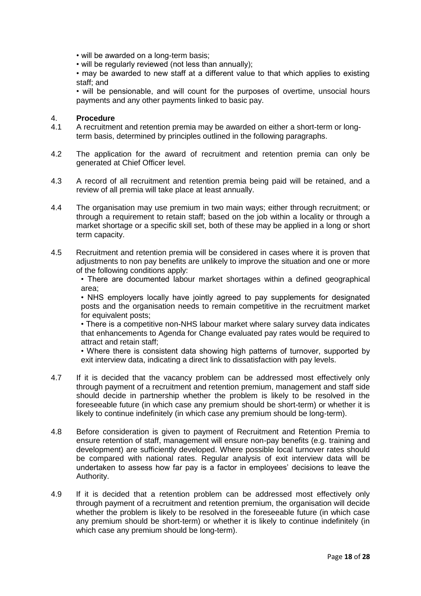• will be awarded on a long-term basis;

• will be regularly reviewed (not less than annually);

• may be awarded to new staff at a different value to that which applies to existing staff; and

• will be pensionable, and will count for the purposes of overtime, unsocial hours payments and any other payments linked to basic pay.

#### 4. **Procedure**

- 4.1 A recruitment and retention premia may be awarded on either a short-term or longterm basis, determined by principles outlined in the following paragraphs.
- 4.2 The application for the award of recruitment and retention premia can only be generated at Chief Officer level.
- 4.3 A record of all recruitment and retention premia being paid will be retained, and a review of all premia will take place at least annually.
- 4.4 The organisation may use premium in two main ways; either through recruitment; or through a requirement to retain staff; based on the job within a locality or through a market shortage or a specific skill set, both of these may be applied in a long or short term capacity.
- 4.5 Recruitment and retention premia will be considered in cases where it is proven that adjustments to non pay benefits are unlikely to improve the situation and one or more of the following conditions apply:

• There are documented labour market shortages within a defined geographical area;

• NHS employers locally have jointly agreed to pay supplements for designated posts and the organisation needs to remain competitive in the recruitment market for equivalent posts;

• There is a competitive non-NHS labour market where salary survey data indicates that enhancements to Agenda for Change evaluated pay rates would be required to attract and retain staff;

• Where there is consistent data showing high patterns of turnover, supported by exit interview data, indicating a direct link to dissatisfaction with pay levels.

- 4.7 If it is decided that the vacancy problem can be addressed most effectively only through payment of a recruitment and retention premium, management and staff side should decide in partnership whether the problem is likely to be resolved in the foreseeable future (in which case any premium should be short-term) or whether it is likely to continue indefinitely (in which case any premium should be long-term).
- 4.8 Before consideration is given to payment of Recruitment and Retention Premia to ensure retention of staff, management will ensure non-pay benefits (e.g. training and development) are sufficiently developed. Where possible local turnover rates should be compared with national rates. Regular analysis of exit interview data will be undertaken to assess how far pay is a factor in employees' decisions to leave the Authority.
- 4.9 If it is decided that a retention problem can be addressed most effectively only through payment of a recruitment and retention premium, the organisation will decide whether the problem is likely to be resolved in the foreseeable future (in which case any premium should be short-term) or whether it is likely to continue indefinitely (in which case any premium should be long-term).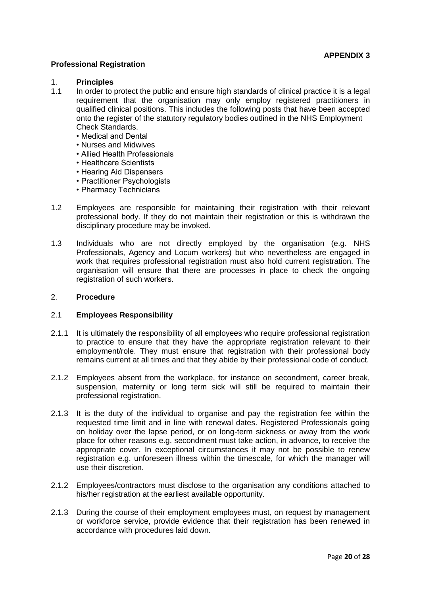# **Professional Registration**

#### 1. **Principles**

- 1.1 In order to protect the public and ensure high standards of clinical practice it is a legal requirement that the organisation may only employ registered practitioners in qualified clinical positions. This includes the following posts that have been accepted onto the register of the statutory regulatory bodies outlined in the NHS Employment Check Standards.
	- Medical and Dental
	- Nurses and Midwives
	- Allied Health Professionals
	- Healthcare Scientists
	- Hearing Aid Dispensers
	- Practitioner Psychologists
	- Pharmacy Technicians
- 1.2 Employees are responsible for maintaining their registration with their relevant professional body. If they do not maintain their registration or this is withdrawn the disciplinary procedure may be invoked.
- 1.3 Individuals who are not directly employed by the organisation (e.g. NHS Professionals, Agency and Locum workers) but who nevertheless are engaged in work that requires professional registration must also hold current registration. The organisation will ensure that there are processes in place to check the ongoing registration of such workers.

#### 2. **Procedure**

#### 2.1 **Employees Responsibility**

- 2.1.1 It is ultimately the responsibility of all employees who require professional registration to practice to ensure that they have the appropriate registration relevant to their employment/role. They must ensure that registration with their professional body remains current at all times and that they abide by their professional code of conduct.
- 2.1.2 Employees absent from the workplace, for instance on secondment, career break, suspension, maternity or long term sick will still be required to maintain their professional registration.
- 2.1.3 It is the duty of the individual to organise and pay the registration fee within the requested time limit and in line with renewal dates. Registered Professionals going on holiday over the lapse period, or on long-term sickness or away from the work place for other reasons e.g. secondment must take action, in advance, to receive the appropriate cover. In exceptional circumstances it may not be possible to renew registration e.g. unforeseen illness within the timescale, for which the manager will use their discretion.
- 2.1.2 Employees/contractors must disclose to the organisation any conditions attached to his/her registration at the earliest available opportunity.
- 2.1.3 During the course of their employment employees must, on request by management or workforce service, provide evidence that their registration has been renewed in accordance with procedures laid down.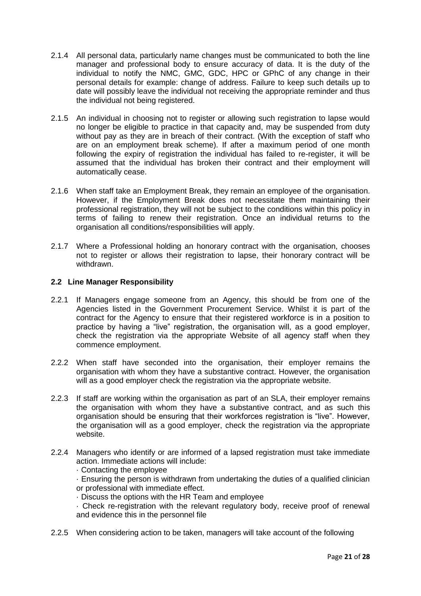- 2.1.4 All personal data, particularly name changes must be communicated to both the line manager and professional body to ensure accuracy of data. It is the duty of the individual to notify the NMC, GMC, GDC, HPC or GPhC of any change in their personal details for example: change of address. Failure to keep such details up to date will possibly leave the individual not receiving the appropriate reminder and thus the individual not being registered.
- 2.1.5 An individual in choosing not to register or allowing such registration to lapse would no longer be eligible to practice in that capacity and, may be suspended from duty without pay as they are in breach of their contract. (With the exception of staff who are on an employment break scheme). If after a maximum period of one month following the expiry of registration the individual has failed to re-register, it will be assumed that the individual has broken their contract and their employment will automatically cease.
- 2.1.6 When staff take an Employment Break, they remain an employee of the organisation. However, if the Employment Break does not necessitate them maintaining their professional registration, they will not be subject to the conditions within this policy in terms of failing to renew their registration. Once an individual returns to the organisation all conditions/responsibilities will apply.
- 2.1.7 Where a Professional holding an honorary contract with the organisation, chooses not to register or allows their registration to lapse, their honorary contract will be withdrawn.

# **2.2 Line Manager Responsibility**

- 2.2.1 If Managers engage someone from an Agency, this should be from one of the Agencies listed in the Government Procurement Service. Whilst it is part of the contract for the Agency to ensure that their registered workforce is in a position to practice by having a "live" registration, the organisation will, as a good employer, check the registration via the appropriate Website of all agency staff when they commence employment.
- 2.2.2 When staff have seconded into the organisation, their employer remains the organisation with whom they have a substantive contract. However, the organisation will as a good employer check the registration via the appropriate website.
- 2.2.3 If staff are working within the organisation as part of an SLA, their employer remains the organisation with whom they have a substantive contract, and as such this organisation should be ensuring that their workforces registration is "live". However, the organisation will as a good employer, check the registration via the appropriate website.
- 2.2.4 Managers who identify or are informed of a lapsed registration must take immediate action. Immediate actions will include:
	- · Contacting the employee
	- · Ensuring the person is withdrawn from undertaking the duties of a qualified clinician or professional with immediate effect.
	- · Discuss the options with the HR Team and employee
	- · Check re-registration with the relevant regulatory body, receive proof of renewal and evidence this in the personnel file
- 2.2.5 When considering action to be taken, managers will take account of the following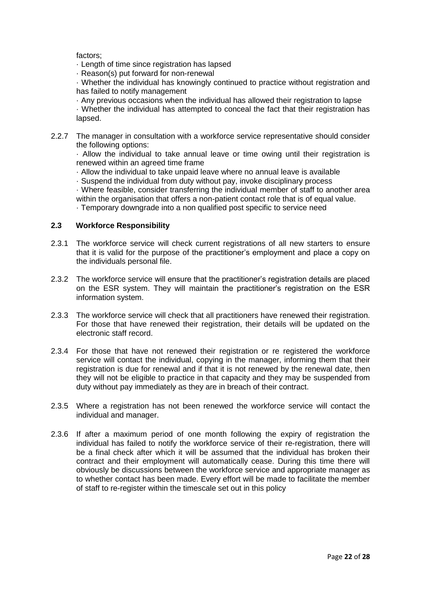factors;

· Length of time since registration has lapsed

· Reason(s) put forward for non-renewal

· Whether the individual has knowingly continued to practice without registration and has failed to notify management

· Any previous occasions when the individual has allowed their registration to lapse

· Whether the individual has attempted to conceal the fact that their registration has lapsed.

2.2.7 The manager in consultation with a workforce service representative should consider the following options:

· Allow the individual to take annual leave or time owing until their registration is renewed within an agreed time frame

- · Allow the individual to take unpaid leave where no annual leave is available
- · Suspend the individual from duty without pay, invoke disciplinary process

· Where feasible, consider transferring the individual member of staff to another area within the organisation that offers a non-patient contact role that is of equal value.

· Temporary downgrade into a non qualified post specific to service need

# **2.3 Workforce Responsibility**

- 2.3.1 The workforce service will check current registrations of all new starters to ensure that it is valid for the purpose of the practitioner's employment and place a copy on the individuals personal file.
- 2.3.2 The workforce service will ensure that the practitioner's registration details are placed on the ESR system. They will maintain the practitioner's registration on the ESR information system.
- 2.3.3 The workforce service will check that all practitioners have renewed their registration. For those that have renewed their registration, their details will be updated on the electronic staff record.
- 2.3.4 For those that have not renewed their registration or re registered the workforce service will contact the individual, copying in the manager, informing them that their registration is due for renewal and if that it is not renewed by the renewal date, then they will not be eligible to practice in that capacity and they may be suspended from duty without pay immediately as they are in breach of their contract.
- 2.3.5 Where a registration has not been renewed the workforce service will contact the individual and manager.
- 2.3.6 If after a maximum period of one month following the expiry of registration the individual has failed to notify the workforce service of their re-registration, there will be a final check after which it will be assumed that the individual has broken their contract and their employment will automatically cease. During this time there will obviously be discussions between the workforce service and appropriate manager as to whether contact has been made. Every effort will be made to facilitate the member of staff to re-register within the timescale set out in this policy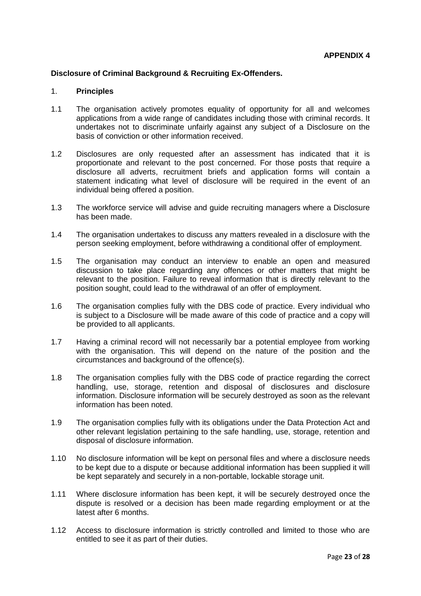# **Disclosure of Criminal Background & Recruiting Ex-Offenders.**

# 1. **Principles**

- 1.1 The organisation actively promotes equality of opportunity for all and welcomes applications from a wide range of candidates including those with criminal records. It undertakes not to discriminate unfairly against any subject of a Disclosure on the basis of conviction or other information received.
- 1.2 Disclosures are only requested after an assessment has indicated that it is proportionate and relevant to the post concerned. For those posts that require a disclosure all adverts, recruitment briefs and application forms will contain a statement indicating what level of disclosure will be required in the event of an individual being offered a position.
- 1.3 The workforce service will advise and guide recruiting managers where a Disclosure has been made.
- 1.4 The organisation undertakes to discuss any matters revealed in a disclosure with the person seeking employment, before withdrawing a conditional offer of employment.
- 1.5 The organisation may conduct an interview to enable an open and measured discussion to take place regarding any offences or other matters that might be relevant to the position. Failure to reveal information that is directly relevant to the position sought, could lead to the withdrawal of an offer of employment.
- 1.6 The organisation complies fully with the DBS code of practice. Every individual who is subject to a Disclosure will be made aware of this code of practice and a copy will be provided to all applicants.
- 1.7 Having a criminal record will not necessarily bar a potential employee from working with the organisation. This will depend on the nature of the position and the circumstances and background of the offence(s).
- 1.8 The organisation complies fully with the DBS code of practice regarding the correct handling, use, storage, retention and disposal of disclosures and disclosure information. Disclosure information will be securely destroyed as soon as the relevant information has been noted.
- 1.9 The organisation complies fully with its obligations under the Data Protection Act and other relevant legislation pertaining to the safe handling, use, storage, retention and disposal of disclosure information.
- 1.10 No disclosure information will be kept on personal files and where a disclosure needs to be kept due to a dispute or because additional information has been supplied it will be kept separately and securely in a non-portable, lockable storage unit.
- 1.11 Where disclosure information has been kept, it will be securely destroyed once the dispute is resolved or a decision has been made regarding employment or at the latest after 6 months.
- 1.12 Access to disclosure information is strictly controlled and limited to those who are entitled to see it as part of their duties.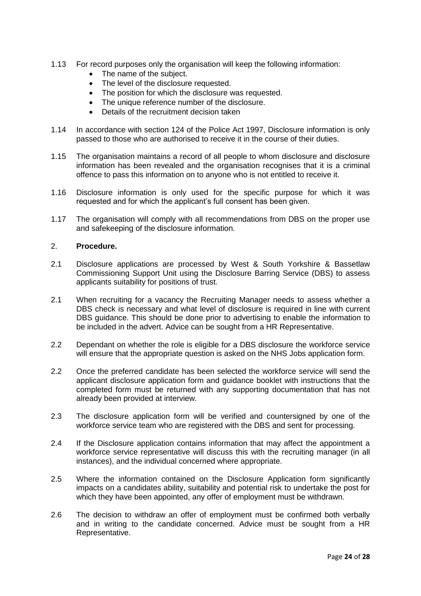- 1.13 For record purposes only the organisation will keep the following information:
	- The name of the subject.
	- The level of the disclosure requested.
	- The position for which the disclosure was requested.
	- The unique reference number of the disclosure.
	- Details of the recruitment decision taken
- 1.14 In accordance with section 124 of the Police Act 1997, Disclosure information is only passed to those who are authorised to receive it in the course of their duties.
- 1.15 The organisation maintains a record of all people to whom disclosure and disclosure information has been revealed and the organisation recognises that it is a criminal offence to pass this information on to anyone who is not entitled to receive it.
- 1.16 Disclosure information is only used for the specific purpose for which it was requested and for which the applicant's full consent has been given.
- 1.17 The organisation will comply with all recommendations from DBS on the proper use and safekeeping of the disclosure information.

# 2. **Procedure.**

- 2.1 Disclosure applications are processed by West & South Yorkshire & Bassetlaw Commissioning Support Unit using the Disclosure Barring Service (DBS) to assess applicants suitability for positions of trust.
- 2.1 When recruiting for a vacancy the Recruiting Manager needs to assess whether a DBS check is necessary and what level of disclosure is required in line with current DBS guidance. This should be done prior to advertising to enable the information to be included in the advert. Advice can be sought from a HR Representative.
- 2.2 Dependant on whether the role is eligible for a DBS disclosure the workforce service will ensure that the appropriate question is asked on the NHS Jobs application form.
- 2.2 Once the preferred candidate has been selected the workforce service will send the applicant disclosure application form and guidance booklet with instructions that the completed form must be returned with any supporting documentation that has not already been provided at interview.
- 2.3 The disclosure application form will be verified and countersigned by one of the workforce service team who are registered with the DBS and sent for processing.
- 2.4 If the Disclosure application contains information that may affect the appointment a workforce service representative will discuss this with the recruiting manager (in all instances), and the individual concerned where appropriate.
- 2.5 Where the information contained on the Disclosure Application form significantly impacts on a candidates ability, suitability and potential risk to undertake the post for which they have been appointed, any offer of employment must be withdrawn.
- 2.6 The decision to withdraw an offer of employment must be confirmed both verbally and in writing to the candidate concerned. Advice must be sought from a HR Representative.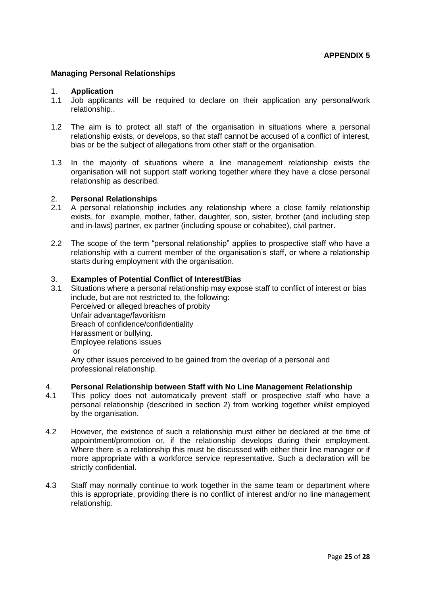# **Managing Personal Relationships**

#### 1. **Application**

- 1.1 Job applicants will be required to declare on their application any personal/work relationship..
- 1.2 The aim is to protect all staff of the organisation in situations where a personal relationship exists, or develops, so that staff cannot be accused of a conflict of interest, bias or be the subject of allegations from other staff or the organisation.
- 1.3 In the majority of situations where a line management relationship exists the organisation will not support staff working together where they have a close personal relationship as described.

#### 2. **Personal Relationships**

- 2.1 A personal relationship includes any relationship where a close family relationship exists, for example, mother, father, daughter, son, sister, brother (and including step and in-laws) partner, ex partner (including spouse or cohabitee), civil partner.
- 2.2 The scope of the term "personal relationship" applies to prospective staff who have a relationship with a current member of the organisation's staff, or where a relationship starts during employment with the organisation.

#### 3. **Examples of Potential Conflict of Interest/Bias**

3.1 Situations where a personal relationship may expose staff to conflict of interest or bias include, but are not restricted to, the following: Perceived or alleged breaches of probity Unfair advantage/favoritism Breach of confidence/confidentiality Harassment or bullying. Employee relations issues or Any other issues perceived to be gained from the overlap of a personal and professional relationship.

#### 4. **Personal Relationship between Staff with No Line Management Relationship**

- 4.1 This policy does not automatically prevent staff or prospective staff who have a personal relationship (described in section 2) from working together whilst employed by the organisation.
- 4.2 However, the existence of such a relationship must either be declared at the time of appointment/promotion or, if the relationship develops during their employment. Where there is a relationship this must be discussed with either their line manager or if more appropriate with a workforce service representative. Such a declaration will be strictly confidential.
- 4.3 Staff may normally continue to work together in the same team or department where this is appropriate, providing there is no conflict of interest and/or no line management relationship.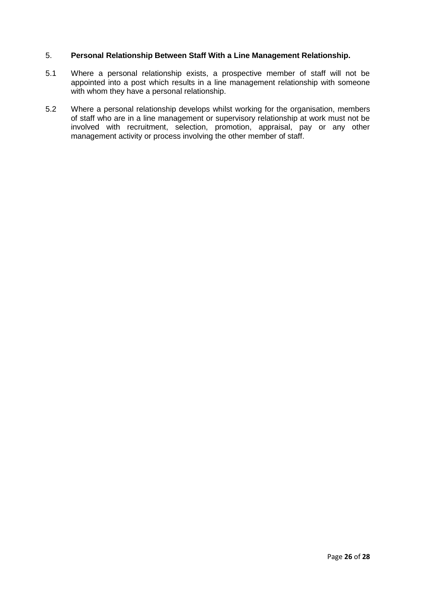# 5. **Personal Relationship Between Staff With a Line Management Relationship.**

- 5.1 Where a personal relationship exists, a prospective member of staff will not be appointed into a post which results in a line management relationship with someone with whom they have a personal relationship.
- 5.2 Where a personal relationship develops whilst working for the organisation, members of staff who are in a line management or supervisory relationship at work must not be involved with recruitment, selection, promotion, appraisal, pay or any other management activity or process involving the other member of staff.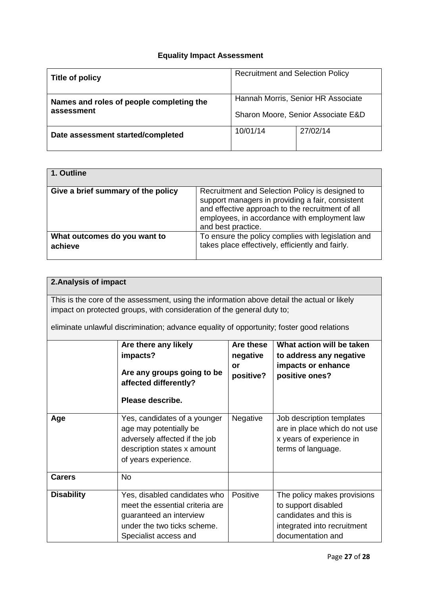# **Equality Impact Assessment**

| Title of policy                                        | <b>Recruitment and Selection Policy</b>                                  |          |  |
|--------------------------------------------------------|--------------------------------------------------------------------------|----------|--|
| Names and roles of people completing the<br>assessment | Hannah Morris, Senior HR Associate<br>Sharon Moore, Senior Associate E&D |          |  |
| Date assessment started/completed                      | 10/01/14                                                                 | 27/02/14 |  |

| 1. Outline                              |                                                                                                                                                                                                                               |
|-----------------------------------------|-------------------------------------------------------------------------------------------------------------------------------------------------------------------------------------------------------------------------------|
| Give a brief summary of the policy      | Recruitment and Selection Policy is designed to<br>support managers in providing a fair, consistent<br>and effective approach to the recruitment of all<br>employees, in accordance with employment law<br>and best practice. |
| What outcomes do you want to<br>achieve | To ensure the policy complies with legislation and<br>takes place effectively, efficiently and fairly.                                                                                                                        |

# **2.Analysis of impact**

This is the core of the assessment, using the information above detail the actual or likely impact on protected groups, with consideration of the general duty to;

eliminate unlawful discrimination; advance equality of opportunity; foster good relations

|                   | Are there any likely<br>impacts?<br>Are any groups going to be<br>affected differently?<br>Please describe.                                        | Are these<br>negative<br>or<br>positive? | What action will be taken<br>to address any negative<br>impacts or enhance<br>positive ones?                                     |
|-------------------|----------------------------------------------------------------------------------------------------------------------------------------------------|------------------------------------------|----------------------------------------------------------------------------------------------------------------------------------|
| Age               | Yes, candidates of a younger<br>age may potentially be<br>adversely affected if the job<br>description states x amount<br>of years experience.     | Negative                                 | Job description templates<br>are in place which do not use<br>x years of experience in<br>terms of language.                     |
| <b>Carers</b>     | <b>No</b>                                                                                                                                          |                                          |                                                                                                                                  |
| <b>Disability</b> | Yes, disabled candidates who<br>meet the essential criteria are<br>guaranteed an interview<br>under the two ticks scheme.<br>Specialist access and | Positive                                 | The policy makes provisions<br>to support disabled<br>candidates and this is<br>integrated into recruitment<br>documentation and |